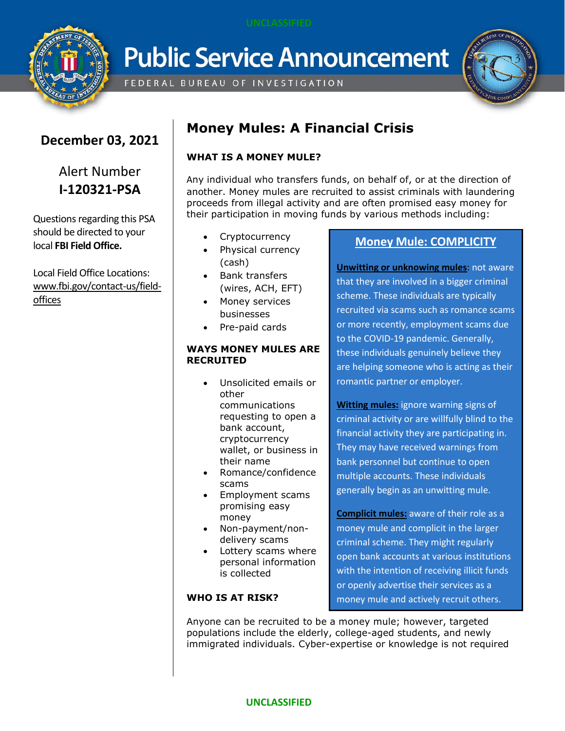

**Public Service Announcement** 

FEDERAL BUREAU OF INVESTIGATION



# **December 03, 2021**

# Alert Number **I-120321-PSA**

Questions regarding this PSA should be directed to your local **FBI Field Office.**

Local Field Office Locations: [www.fbi.gov/contact-us/field](http://www.fbi.gov/contact-us/field)offices

# **Money Mules: A Financial Crisis**

# **WHAT IS A MONEY MULE?**

Any individual who transfers funds, on behalf of, or at the direction of another. Money mules are recruited to assist criminals with laundering proceeds from illegal activity and are often promised easy money for their participation in moving funds by various methods including:

- **Cryptocurrency**
- Physical currency (cash)
- Bank transfers (wires, ACH, EFT)
- Money services businesses
- Pre-paid cards

### **WAYS MONEY MULES ARE RECRUITED**

- Unsolicited emails or other communications requesting to open a bank account, cryptocurrency wallet, or business in their name
- Romance/confidence scams
- Employment scams promising easy money
- Non-payment/nondelivery scams
- Lottery scams where personal information is collected

## **WHO IS AT RISK?**

## **Money Mule: COMPLICITY**

**Unwitting or unknowing mules**: not aware that they are involved in a bigger criminal scheme. These individuals are typically recruited via scams such as romance scams or more recently, employment scams due to the COVID-19 pandemic. Generally, these individuals genuinely believe they are helping someone who is acting as their romantic partner or employer.

**Witting mules:** ignore warning signs of criminal activity or are willfully blind to the financial activity they are participating in. They may have received warnings from bank personnel but continue to open multiple accounts. These individuals generally begin as an unwitting mule.

**Complicit mules:** aware of their role as a money mule and complicit in the larger criminal scheme. They might regularly open bank accounts at various institutions with the intention of receiving illicit funds or openly advertise their services as a money mule and actively recruit others.

Anyone can be recruited to be a money mule; however, targeted populations include the elderly, college-aged students, and newly immigrated individuals. Cyber-expertise or knowledge is not required

## **UNCLASSIFIED**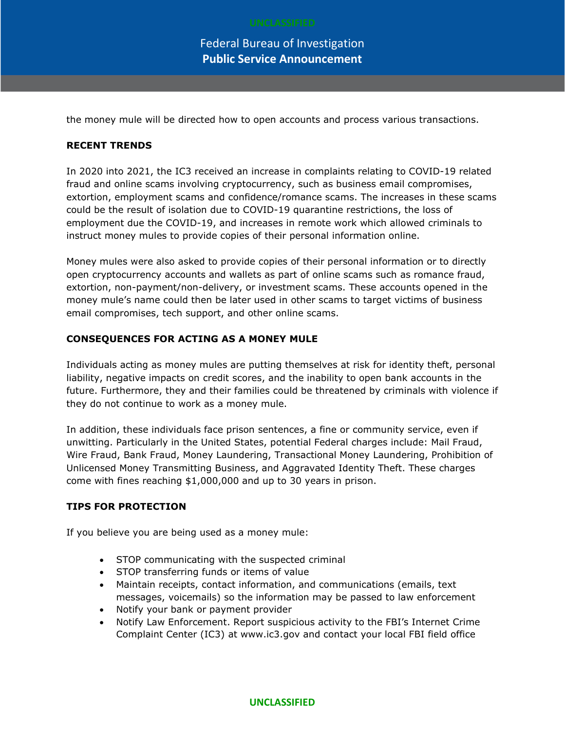Federal Bureau of Investigation **Public Service Announcement**

the money mule will be directed how to open accounts and process various transactions.

### **RECENT TRENDS**

In 2020 into 2021, the IC3 received an increase in complaints relating to COVID-19 related fraud and online scams involving cryptocurrency, such as business email compromises, extortion, employment scams and confidence/romance scams. The increases in these scams could be the result of isolation due to COVID-19 quarantine restrictions, the loss of employment due the COVID-19, and increases in remote work which allowed criminals to instruct money mules to provide copies of their personal information online.

Money mules were also asked to provide copies of their personal information or to directly open cryptocurrency accounts and wallets as part of online scams such as romance fraud, extortion, non-payment/non-delivery, or investment scams. These accounts opened in the money mule's name could then be later used in other scams to target victims of business email compromises, tech support, and other online scams.

#### **CONSEQUENCES FOR ACTING AS A MONEY MULE**

Individuals acting as money mules are putting themselves at risk for identity theft, personal liability, negative impacts on credit scores, and the inability to open bank accounts in the future. Furthermore, they and their families could be threatened by criminals with violence if they do not continue to work as a money mule.

In addition, these individuals face prison sentences, a fine or community service, even if unwitting. Particularly in the United States, potential Federal charges include: Mail Fraud, Wire Fraud, Bank Fraud, Money Laundering, Transactional Money Laundering, Prohibition of Unlicensed Money Transmitting Business, and Aggravated Identity Theft. These charges come with fines reaching \$1,000,000 and up to 30 years in prison.

#### **TIPS FOR PROTECTION**

If you believe you are being used as a money mule:

- STOP communicating with the suspected criminal
- STOP transferring funds or items of value
- Maintain receipts, contact information, and communications (emails, text messages, voicemails) so the information may be passed to law enforcement
- Notify your bank or payment provider
- Notify Law Enforcement. Report suspicious activity to the FBI's Internet Crime Complaint Center (IC3) at www.ic3.gov and contact your local FBI field office

#### **UNCLASSIFIED**